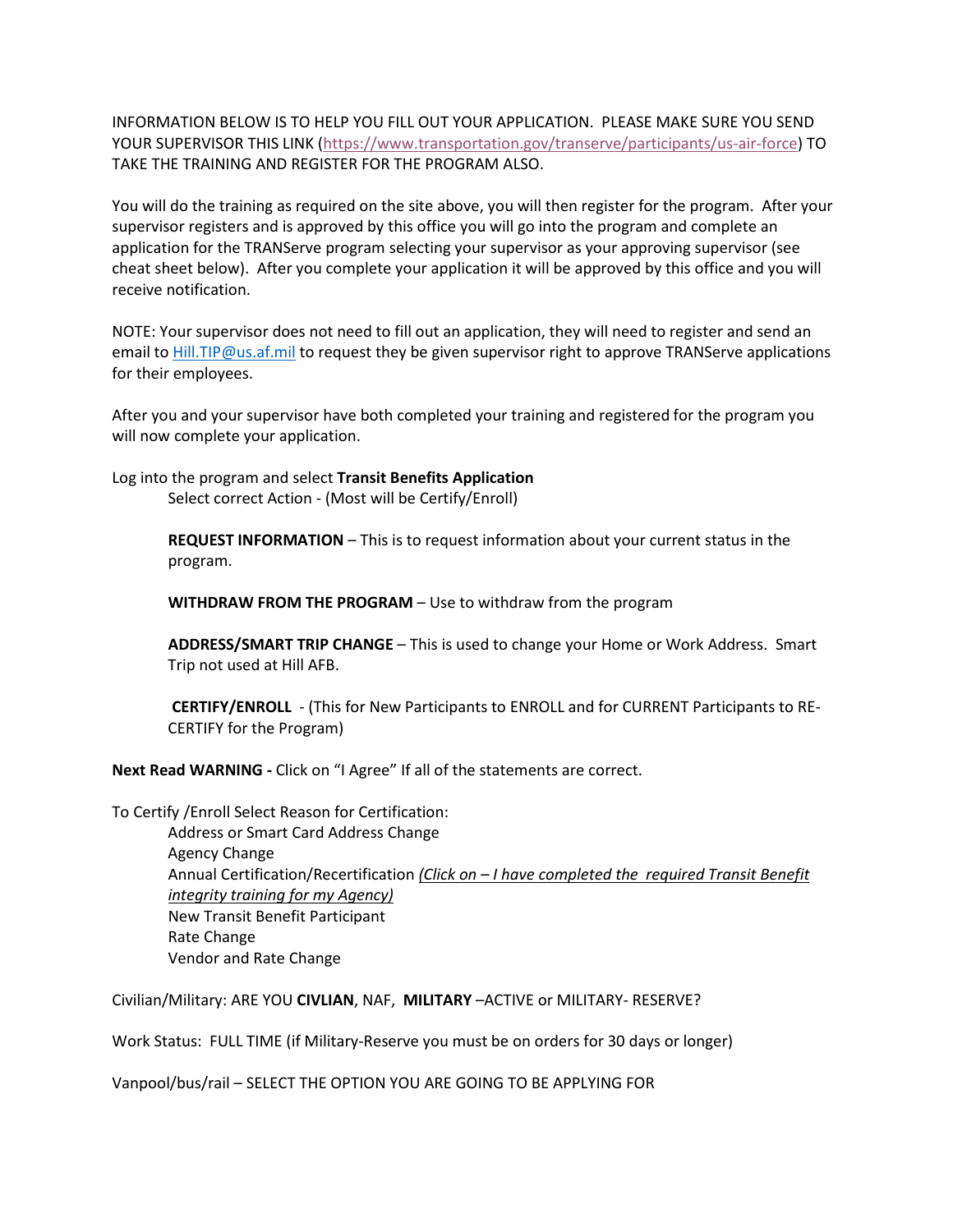INFORMATION BELOW IS TO HELP YOU FILL OUT YOUR APPLICATION. PLEASE MAKE SURE YOU SEND YOUR SUPERVISOR THIS LINK [\(https://www.transportation.gov/transerve/participants/us-air-force\)](https://www.transportation.gov/transerve/participants/us-air-force) TO TAKE THE TRAINING AND REGISTER FOR THE PROGRAM ALSO.

You will do the training as required on the site above, you will then register for the program. After your supervisor registers and is approved by this office you will go into the program and complete an application for the TRANServe program selecting your supervisor as your approving supervisor (see cheat sheet below). After you complete your application it will be approved by this office and you will receive notification.

NOTE: Your supervisor does not need to fill out an application, they will need to register and send an email to [Hill.TIP@us.af.mil](mailto:Hill.TIP@us.af.mil) to request they be given supervisor right to approve TRANServe applications for their employees.

After you and your supervisor have both completed your training and registered for the program you will now complete your application.

Log into the program and select **Transit Benefits Application** Select correct Action - (Most will be Certify/Enroll)

> **REQUEST INFORMATION** – This is to request information about your current status in the program.

**WITHDRAW FROM THE PROGRAM** – Use to withdraw from the program

**ADDRESS/SMART TRIP CHANGE** – This is used to change your Home or Work Address. Smart Trip not used at Hill AFB.

**CERTIFY/ENROLL** - (This for New Participants to ENROLL and for CURRENT Participants to RE-CERTIFY for the Program)

**Next Read WARNING -** Click on "I Agree" If all of the statements are correct.

To Certify /Enroll Select Reason for Certification: Address or Smart Card Address Change Agency Change Annual Certification/Recertification *(Click on – I have completed the required Transit Benefit integrity training for my Agency)* New Transit Benefit Participant Rate Change Vendor and Rate Change

Civilian/Military: ARE YOU **CIVLIAN**, NAF, **MILITARY** –ACTIVE or MILITARY- RESERVE?

Work Status: FULL TIME (if Military-Reserve you must be on orders for 30 days or longer)

Vanpool/bus/rail – SELECT THE OPTION YOU ARE GOING TO BE APPLYING FOR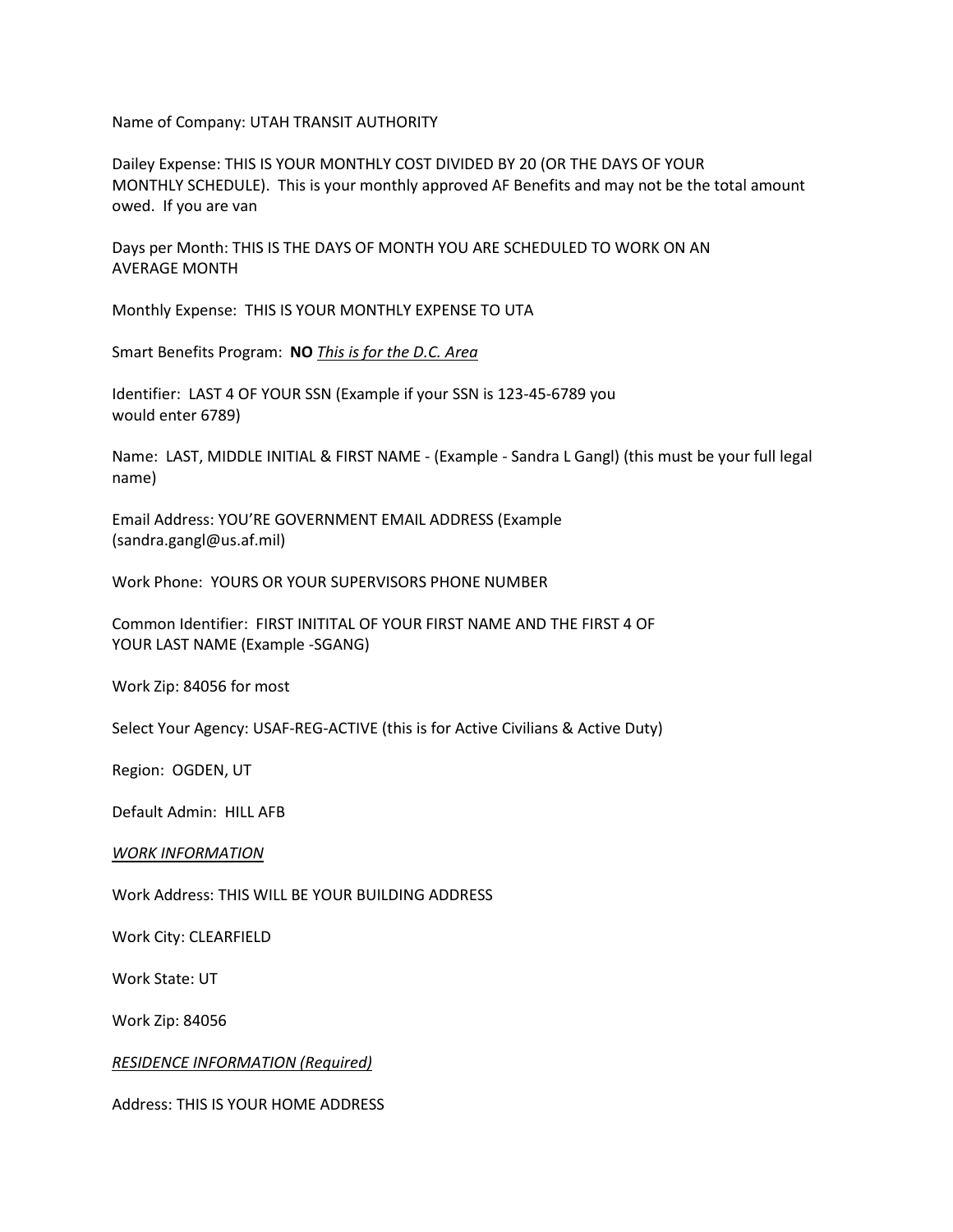Name of Company: UTAH TRANSIT AUTHORITY

Dailey Expense: THIS IS YOUR MONTHLY COST DIVIDED BY 20 (OR THE DAYS OF YOUR MONTHLY SCHEDULE). This is your monthly approved AF Benefits and may not be the total amount owed. If you are van

Days per Month: THIS IS THE DAYS OF MONTH YOU ARE SCHEDULED TO WORK ON AN AVERAGE MONTH

Monthly Expense: THIS IS YOUR MONTHLY EXPENSE TO UTA

Smart Benefits Program: **NO** *This is for the D.C. Area*

Identifier: LAST 4 OF YOUR SSN (Example if your SSN is 123-45-6789 you would enter 6789)

Name: LAST, MIDDLE INITIAL & FIRST NAME - (Example - Sandra L Gangl) (this must be your full legal name)

Email Address: YOU'RE GOVERNMENT EMAIL ADDRESS (Example (sandra.gangl@us.af.mil)

Work Phone: YOURS OR YOUR SUPERVISORS PHONE NUMBER

Common Identifier: FIRST INITITAL OF YOUR FIRST NAME AND THE FIRST 4 OF YOUR LAST NAME (Example -SGANG)

Work Zip: 84056 for most

Select Your Agency: USAF-REG-ACTIVE (this is for Active Civilians & Active Duty)

Region: OGDEN, UT

Default Admin: HILL AFB

*WORK INFORMATION*

Work Address: THIS WILL BE YOUR BUILDING ADDRESS

Work City: CLEARFIELD

Work State: UT

Work Zip: 84056

*RESIDENCE INFORMATION (Required)*

Address: THIS IS YOUR HOME ADDRESS